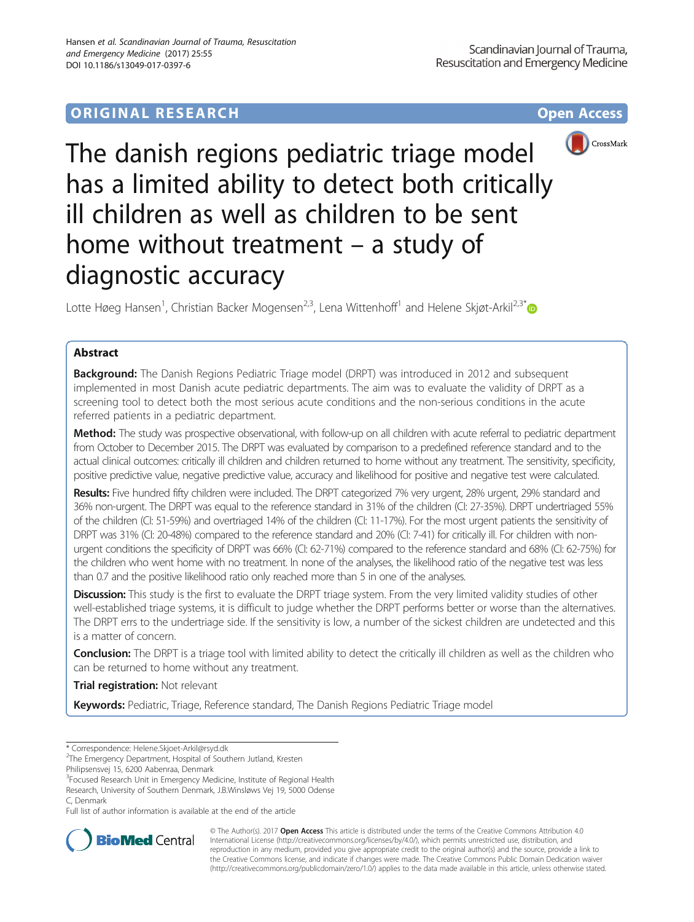# **ORIGINAL RESEARCH CONSERVERS AND ACCESS**



The danish regions pediatric triage model has a limited ability to detect both critically ill children as well as children to be sent home without treatment – a study of diagnostic accuracy

Lotte Høeg Hansen<sup>1</sup>, Christian Backer Mogensen<sup>2,3</sup>, Lena Wittenhoff<sup>1</sup> and Helene Skjøt-Arkil<sup>2,3[\\*](http://orcid.org/0000-0002-2236-6375)</sup>

## Abstract

**Background:** The Danish Regions Pediatric Triage model (DRPT) was introduced in 2012 and subsequent implemented in most Danish acute pediatric departments. The aim was to evaluate the validity of DRPT as a screening tool to detect both the most serious acute conditions and the non-serious conditions in the acute referred patients in a pediatric department.

Method: The study was prospective observational, with follow-up on all children with acute referral to pediatric department from October to December 2015. The DRPT was evaluated by comparison to a predefined reference standard and to the actual clinical outcomes: critically ill children and children returned to home without any treatment. The sensitivity, specificity, positive predictive value, negative predictive value, accuracy and likelihood for positive and negative test were calculated.

Results: Five hundred fifty children were included. The DRPT categorized 7% very urgent, 28% urgent, 29% standard and 36% non-urgent. The DRPT was equal to the reference standard in 31% of the children (CI: 27-35%). DRPT undertriaged 55% of the children (CI: 51-59%) and overtriaged 14% of the children (CI: 11-17%). For the most urgent patients the sensitivity of DRPT was 31% (CI: 20-48%) compared to the reference standard and 20% (CI: 7-41) for critically ill. For children with nonurgent conditions the specificity of DRPT was 66% (CI: 62-71%) compared to the reference standard and 68% (CI: 62-75%) for the children who went home with no treatment. In none of the analyses, the likelihood ratio of the negative test was less than 0.7 and the positive likelihood ratio only reached more than 5 in one of the analyses.

Discussion: This study is the first to evaluate the DRPT triage system. From the very limited validity studies of other well-established triage systems, it is difficult to judge whether the DRPT performs better or worse than the alternatives. The DRPT errs to the undertriage side. If the sensitivity is low, a number of the sickest children are undetected and this is a matter of concern.

Conclusion: The DRPT is a triage tool with limited ability to detect the critically ill children as well as the children who can be returned to home without any treatment.

**Trial registration: Not relevant** 

Keywords: Pediatric, Triage, Reference standard, The Danish Regions Pediatric Triage model

\* Correspondence: [Helene.Skjoet-Arkil@rsyd.dk](mailto:Helene.Skjoet-Arkil@rsyd.dk) <sup>2</sup>

<sup>3</sup> Focused Research Unit in Emergency Medicine, Institute of Regional Health Research, University of Southern Denmark, J.B.Winsløws Vej 19, 5000 Odense C, Denmark

Full list of author information is available at the end of the article



© The Author(s). 2017 **Open Access** This article is distributed under the terms of the Creative Commons Attribution 4.0 International License [\(http://creativecommons.org/licenses/by/4.0/](http://creativecommons.org/licenses/by/4.0/)), which permits unrestricted use, distribution, and reproduction in any medium, provided you give appropriate credit to the original author(s) and the source, provide a link to the Creative Commons license, and indicate if changes were made. The Creative Commons Public Domain Dedication waiver [\(http://creativecommons.org/publicdomain/zero/1.0/](http://creativecommons.org/publicdomain/zero/1.0/)) applies to the data made available in this article, unless otherwise stated.

<sup>&</sup>lt;sup>2</sup>The Emergency Department, Hospital of Southern Jutland, Kresten

Philipsensvej 15, 6200 Aabenraa, Denmark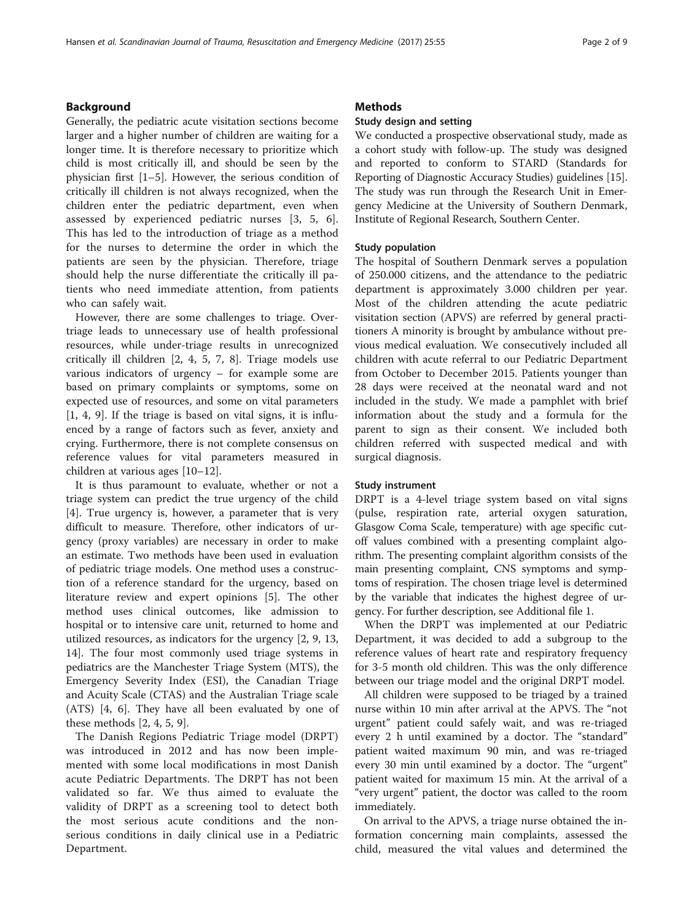## Background

Generally, the pediatric acute visitation sections become larger and a higher number of children are waiting for a longer time. It is therefore necessary to prioritize which child is most critically ill, and should be seen by the physician first [\[1](#page-8-0)–[5](#page-8-0)]. However, the serious condition of critically ill children is not always recognized, when the children enter the pediatric department, even when assessed by experienced pediatric nurses [[3, 5, 6](#page-8-0)]. This has led to the introduction of triage as a method for the nurses to determine the order in which the patients are seen by the physician. Therefore, triage should help the nurse differentiate the critically ill patients who need immediate attention, from patients who can safely wait.

However, there are some challenges to triage. Overtriage leads to unnecessary use of health professional resources, while under-triage results in unrecognized critically ill children [[2, 4, 5](#page-8-0), [7](#page-8-0), [8\]](#page-8-0). Triage models use various indicators of urgency – for example some are based on primary complaints or symptoms, some on expected use of resources, and some on vital parameters [[1, 4, 9\]](#page-8-0). If the triage is based on vital signs, it is influenced by a range of factors such as fever, anxiety and crying. Furthermore, there is not complete consensus on reference values for vital parameters measured in children at various ages [\[10](#page-8-0)–[12\]](#page-8-0).

It is thus paramount to evaluate, whether or not a triage system can predict the true urgency of the child [[4\]](#page-8-0). True urgency is, however, a parameter that is very difficult to measure. Therefore, other indicators of urgency (proxy variables) are necessary in order to make an estimate. Two methods have been used in evaluation of pediatric triage models. One method uses a construction of a reference standard for the urgency, based on literature review and expert opinions [\[5](#page-8-0)]. The other method uses clinical outcomes, like admission to hospital or to intensive care unit, returned to home and utilized resources, as indicators for the urgency [\[2](#page-8-0), [9](#page-8-0), [13](#page-8-0), [14\]](#page-8-0). The four most commonly used triage systems in pediatrics are the Manchester Triage System (MTS), the Emergency Severity Index (ESI), the Canadian Triage and Acuity Scale (CTAS) and the Australian Triage scale (ATS) [\[4, 6](#page-8-0)]. They have all been evaluated by one of these methods [[2, 4, 5, 9\]](#page-8-0).

The Danish Regions Pediatric Triage model (DRPT) was introduced in 2012 and has now been implemented with some local modifications in most Danish acute Pediatric Departments. The DRPT has not been validated so far. We thus aimed to evaluate the validity of DRPT as a screening tool to detect both the most serious acute conditions and the nonserious conditions in daily clinical use in a Pediatric Department.

## **Methods**

## Study design and setting

We conducted a prospective observational study, made as a cohort study with follow-up. The study was designed and reported to conform to STARD (Standards for Reporting of Diagnostic Accuracy Studies) guidelines [[15](#page-8-0)]. The study was run through the Research Unit in Emergency Medicine at the University of Southern Denmark, Institute of Regional Research, Southern Center.

## Study population

The hospital of Southern Denmark serves a population of 250.000 citizens, and the attendance to the pediatric department is approximately 3.000 children per year. Most of the children attending the acute pediatric visitation section (APVS) are referred by general practitioners A minority is brought by ambulance without previous medical evaluation. We consecutively included all children with acute referral to our Pediatric Department from October to December 2015. Patients younger than 28 days were received at the neonatal ward and not included in the study. We made a pamphlet with brief information about the study and a formula for the parent to sign as their consent. We included both children referred with suspected medical and with surgical diagnosis.

#### Study instrument

DRPT is a 4-level triage system based on vital signs (pulse, respiration rate, arterial oxygen saturation, Glasgow Coma Scale, temperature) with age specific cutoff values combined with a presenting complaint algorithm. The presenting complaint algorithm consists of the main presenting complaint, CNS symptoms and symptoms of respiration. The chosen triage level is determined by the variable that indicates the highest degree of urgency. For further description, see Additional file [1.](#page-7-0)

When the DRPT was implemented at our Pediatric Department, it was decided to add a subgroup to the reference values of heart rate and respiratory frequency for 3-5 month old children. This was the only difference between our triage model and the original DRPT model.

All children were supposed to be triaged by a trained nurse within 10 min after arrival at the APVS. The "not urgent" patient could safely wait, and was re-triaged every 2 h until examined by a doctor. The "standard" patient waited maximum 90 min, and was re-triaged every 30 min until examined by a doctor. The "urgent" patient waited for maximum 15 min. At the arrival of a "very urgent" patient, the doctor was called to the room immediately.

On arrival to the APVS, a triage nurse obtained the information concerning main complaints, assessed the child, measured the vital values and determined the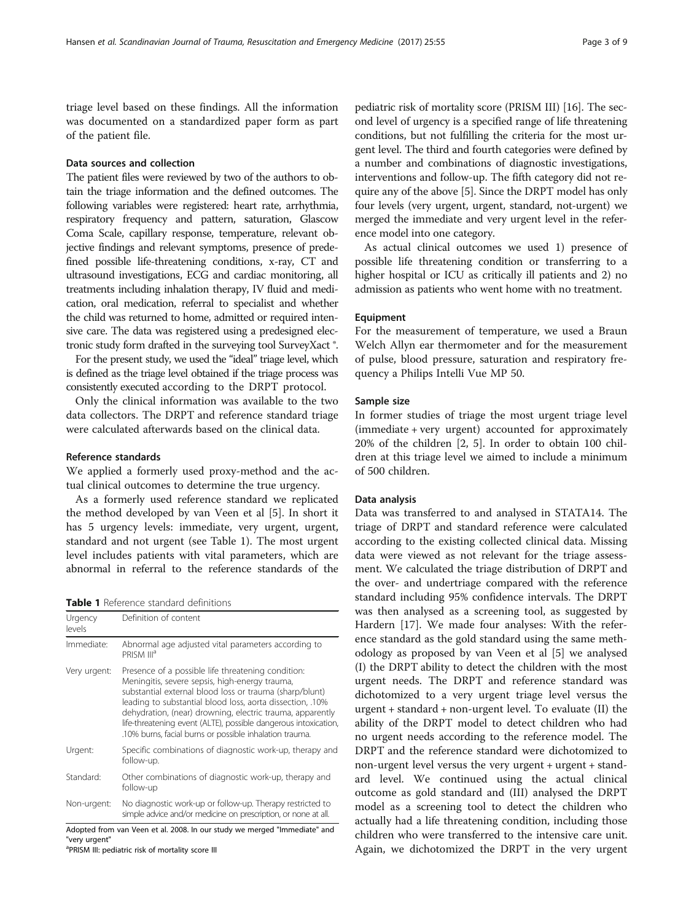triage level based on these findings. All the information was documented on a standardized paper form as part of the patient file.

## Data sources and collection

The patient files were reviewed by two of the authors to obtain the triage information and the defined outcomes. The following variables were registered: heart rate, arrhythmia, respiratory frequency and pattern, saturation, Glascow Coma Scale, capillary response, temperature, relevant objective findings and relevant symptoms, presence of predefined possible life-threatening conditions, x-ray, CT and ultrasound investigations, ECG and cardiac monitoring, all treatments including inhalation therapy, IV fluid and medication, oral medication, referral to specialist and whether the child was returned to home, admitted or required intensive care. The data was registered using a predesigned electronic study form drafted in the surveying tool SurveyXact ®.

For the present study, we used the "ideal" triage level, which is defined as the triage level obtained if the triage process was consistently executed according to the DRPT protocol.

Only the clinical information was available to the two data collectors. The DRPT and reference standard triage were calculated afterwards based on the clinical data.

## Reference standards

We applied a formerly used proxy-method and the actual clinical outcomes to determine the true urgency.

As a formerly used reference standard we replicated the method developed by van Veen et al [[5\]](#page-8-0). In short it has 5 urgency levels: immediate, very urgent, urgent, standard and not urgent (see Table 1). The most urgent level includes patients with vital parameters, which are abnormal in referral to the reference standards of the

Table 1 Reference standard definitions

| Urgency<br>levels | Definition of content                                                                                                                                                                                                                                                                                                                                                                                                   |
|-------------------|-------------------------------------------------------------------------------------------------------------------------------------------------------------------------------------------------------------------------------------------------------------------------------------------------------------------------------------------------------------------------------------------------------------------------|
| Immediate:        | Abnormal age adjusted vital parameters according to<br>PRISM III <sup>a</sup>                                                                                                                                                                                                                                                                                                                                           |
| Very urgent:      | Presence of a possible life threatening condition:<br>Meningitis, severe sepsis, high-energy trauma,<br>substantial external blood loss or trauma (sharp/blunt)<br>leading to substantial blood loss, aorta dissection, .10%<br>dehydration, (near) drowning, electric trauma, apparently<br>life-threatening event (ALTE), possible dangerous intoxication,<br>.10% burns, facial burns or possible inhalation trauma. |
| Urgent:           | Specific combinations of diagnostic work-up, therapy and<br>follow-up.                                                                                                                                                                                                                                                                                                                                                  |
| Standard:         | Other combinations of diagnostic work-up, therapy and<br>follow-up                                                                                                                                                                                                                                                                                                                                                      |
| Non-urgent:       | No diagnostic work-up or follow-up. Therapy restricted to<br>simple advice and/or medicine on prescription, or none at all.                                                                                                                                                                                                                                                                                             |
| $\cdots$          | $\cdots$                                                                                                                                                                                                                                                                                                                                                                                                                |

Adopted from van Veen et al. 2008. In our study we merged "Immediate" and "very urgent"

<sup>a</sup>PRISM III: pediatric risk of mortality score III

pediatric risk of mortality score (PRISM III) [\[16\]](#page-8-0). The second level of urgency is a specified range of life threatening conditions, but not fulfilling the criteria for the most urgent level. The third and fourth categories were defined by a number and combinations of diagnostic investigations, interventions and follow-up. The fifth category did not require any of the above [[5\]](#page-8-0). Since the DRPT model has only four levels (very urgent, urgent, standard, not-urgent) we merged the immediate and very urgent level in the reference model into one category.

As actual clinical outcomes we used 1) presence of possible life threatening condition or transferring to a higher hospital or ICU as critically ill patients and 2) no admission as patients who went home with no treatment.

#### Equipment

For the measurement of temperature, we used a Braun Welch Allyn ear thermometer and for the measurement of pulse, blood pressure, saturation and respiratory frequency a Philips Intelli Vue MP 50.

## Sample size

In former studies of triage the most urgent triage level (immediate + very urgent) accounted for approximately 20% of the children [\[2](#page-8-0), [5](#page-8-0)]. In order to obtain 100 children at this triage level we aimed to include a minimum of 500 children.

## Data analysis

Data was transferred to and analysed in STATA14. The triage of DRPT and standard reference were calculated according to the existing collected clinical data. Missing data were viewed as not relevant for the triage assessment. We calculated the triage distribution of DRPT and the over- and undertriage compared with the reference standard including 95% confidence intervals. The DRPT was then analysed as a screening tool, as suggested by Hardern [[17\]](#page-8-0). We made four analyses: With the reference standard as the gold standard using the same methodology as proposed by van Veen et al [[5\]](#page-8-0) we analysed (I) the DRPT ability to detect the children with the most urgent needs. The DRPT and reference standard was dichotomized to a very urgent triage level versus the urgent + standard + non-urgent level. To evaluate (II) the ability of the DRPT model to detect children who had no urgent needs according to the reference model. The DRPT and the reference standard were dichotomized to non-urgent level versus the very urgent + urgent + standard level. We continued using the actual clinical outcome as gold standard and (III) analysed the DRPT model as a screening tool to detect the children who actually had a life threatening condition, including those children who were transferred to the intensive care unit. Again, we dichotomized the DRPT in the very urgent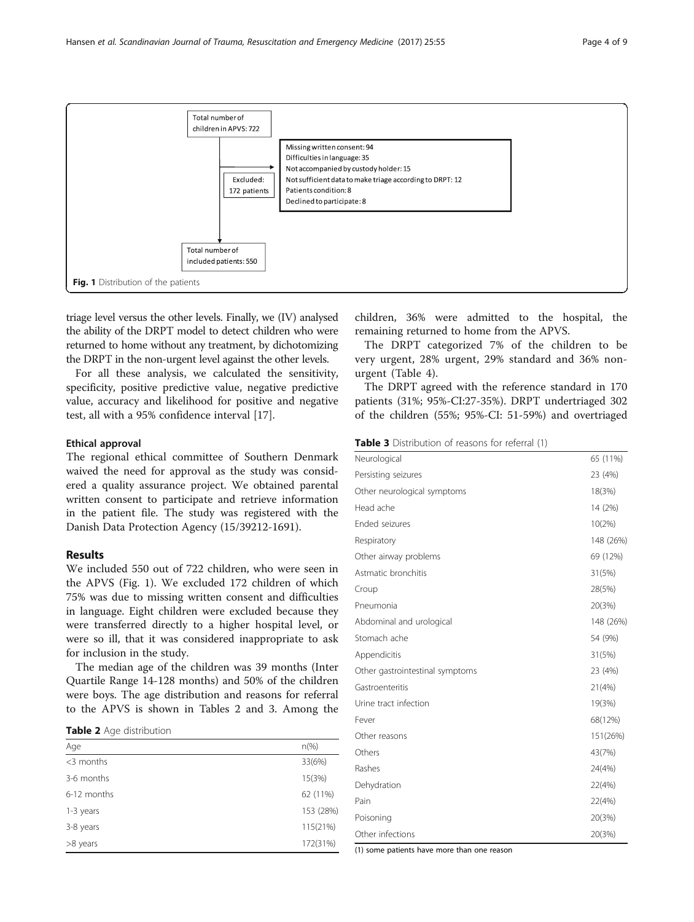

triage level versus the other levels. Finally, we (IV) analysed the ability of the DRPT model to detect children who were returned to home without any treatment, by dichotomizing the DRPT in the non-urgent level against the other levels.

For all these analysis, we calculated the sensitivity, specificity, positive predictive value, negative predictive value, accuracy and likelihood for positive and negative test, all with a 95% confidence interval [[17\]](#page-8-0).

## Ethical approval

The regional ethical committee of Southern Denmark waived the need for approval as the study was considered a quality assurance project. We obtained parental written consent to participate and retrieve information in the patient file. The study was registered with the Danish Data Protection Agency (15/39212-1691).

## Results

We included 550 out of 722 children, who were seen in the APVS (Fig. 1). We excluded 172 children of which 75% was due to missing written consent and difficulties in language. Eight children were excluded because they were transferred directly to a higher hospital level, or were so ill, that it was considered inappropriate to ask for inclusion in the study.

The median age of the children was 39 months (Inter Quartile Range 14-128 months) and 50% of the children were boys. The age distribution and reasons for referral to the APVS is shown in Tables 2 and 3. Among the

Table 2 Age distribution

| Age          | $n(\%)$   |
|--------------|-----------|
| $<$ 3 months | 33(6%)    |
| 3-6 months   | 15(3%)    |
| 6-12 months  | 62 (11%)  |
| 1-3 years    | 153 (28%) |
| 3-8 years    | 115(21%)  |
| >8 years     | 172(31%)  |

children, 36% were admitted to the hospital, the remaining returned to home from the APVS.

The DRPT categorized 7% of the children to be very urgent, 28% urgent, 29% standard and 36% nonurgent (Table [4\)](#page-4-0).

The DRPT agreed with the reference standard in 170 patients (31%; 95%-CI:27-35%). DRPT undertriaged 302 of the children (55%; 95%-CI: 51-59%) and overtriaged

Table 3 Distribution of reasons for referral (1)

| Neurological                    | 65 (11%)  |
|---------------------------------|-----------|
| Persisting seizures             | 23 (4%)   |
| Other neurological symptoms     | 18(3%)    |
| Head ache                       | 14 (2%)   |
| Ended seizures                  | 10(2%)    |
| Respiratory                     | 148 (26%) |
| Other airway problems           | 69 (12%)  |
| Astmatic bronchitis             | 31(5%)    |
| Croup                           | 28(5%)    |
| Pneumonia                       | 20(3%)    |
| Abdominal and urological        | 148 (26%) |
| Stomach ache                    | 54 (9%)   |
| Appendicitis                    | 31(5%)    |
| Other gastrointestinal symptoms | 23 (4%)   |
| Gastroenteritis                 | 21(4%)    |
| Urine tract infection           | 19(3%)    |
| Fever                           | 68(12%)   |
| Other reasons                   | 151(26%)  |
| Others                          | 43(7%)    |
| Rashes                          | 24(4%)    |
| Dehydration                     | 22(4%)    |
| Pain                            | 22(4%)    |
| Poisoning                       | 20(3%)    |
| Other infections                | 20(3%)    |

(1) some patients have more than one reason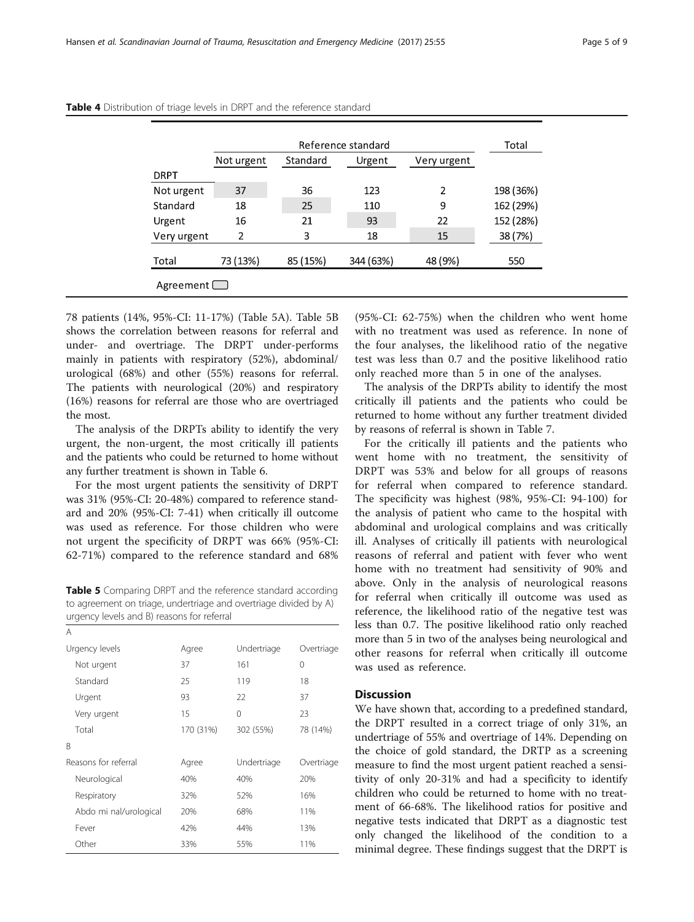|             |            |          | Reference standard |             | Total     |
|-------------|------------|----------|--------------------|-------------|-----------|
|             | Not urgent | Standard | Urgent             | Very urgent |           |
| <b>DRPT</b> |            |          |                    |             |           |
| Not urgent  | 37         | 36       | 123                | 2           | 198 (36%) |
| Standard    | 18         | 25       | 110                | 9           | 162 (29%) |
| Urgent      | 16         | 21       | 93                 | 22          | 152 (28%) |
| Very urgent | 2          | 3        | 18                 | 15          | 38 (7%)   |
| Total       | 73 (13%)   | 85 (15%) | 344 (63%)          | 48 (9%)     | 550       |

<span id="page-4-0"></span>

| Table 4 Distribution of triage levels in DRPT and the reference standard |  |  |  |  |
|--------------------------------------------------------------------------|--|--|--|--|
|--------------------------------------------------------------------------|--|--|--|--|

78 patients (14%, 95%-CI: 11-17%) (Table 5A). Table 5B shows the correlation between reasons for referral and under- and overtriage. The DRPT under-performs mainly in patients with respiratory (52%), abdominal/ urological (68%) and other (55%) reasons for referral. The patients with neurological (20%) and respiratory (16%) reasons for referral are those who are overtriaged the most.

The analysis of the DRPTs ability to identify the very urgent, the non-urgent, the most critically ill patients and the patients who could be returned to home without any further treatment is shown in Table [6.](#page-5-0)

For the most urgent patients the sensitivity of DRPT was 31% (95%-CI: 20-48%) compared to reference standard and 20% (95%-CI: 7-41) when critically ill outcome was used as reference. For those children who were not urgent the specificity of DRPT was 66% (95%-CI: 62-71%) compared to the reference standard and 68%

Table 5 Comparing DRPT and the reference standard according to agreement on triage, undertriage and overtriage divided by A) urgency levels and B) reasons for referral

| A                      |           |             |            |
|------------------------|-----------|-------------|------------|
| Urgency levels         | Agree     | Undertriage | Overtriage |
| Not urgent             | 37        | 161         | 0          |
| Standard               | 25        | 119         | 18         |
| Urgent                 | 93        | 22          | 37         |
| Very urgent            | 15        | 0           | 23         |
| Total                  | 170 (31%) | 302 (55%)   | 78 (14%)   |
| B                      |           |             |            |
| Reasons for referral   | Agree     | Undertriage | Overtriage |
| Neurological           | 40%       | 40%         | 20%        |
| Respiratory            | 32%       | 52%         | 16%        |
| Abdo mi nal/urological | 20%       | 68%         | 11%        |
| Fever                  | 42%       | 44%         | 13%        |
| Other                  | 33%       | 55%         | 11%        |

(95%-CI: 62-75%) when the children who went home with no treatment was used as reference. In none of the four analyses, the likelihood ratio of the negative test was less than 0.7 and the positive likelihood ratio only reached more than 5 in one of the analyses.

The analysis of the DRPTs ability to identify the most critically ill patients and the patients who could be returned to home without any further treatment divided by reasons of referral is shown in Table [7.](#page-6-0)

For the critically ill patients and the patients who went home with no treatment, the sensitivity of DRPT was 53% and below for all groups of reasons for referral when compared to reference standard. The specificity was highest (98%, 95%-CI: 94-100) for the analysis of patient who came to the hospital with abdominal and urological complains and was critically ill. Analyses of critically ill patients with neurological reasons of referral and patient with fever who went home with no treatment had sensitivity of 90% and above. Only in the analysis of neurological reasons for referral when critically ill outcome was used as reference, the likelihood ratio of the negative test was less than 0.7. The positive likelihood ratio only reached more than 5 in two of the analyses being neurological and other reasons for referral when critically ill outcome was used as reference.

## **Discussion**

We have shown that, according to a predefined standard, the DRPT resulted in a correct triage of only 31%, an undertriage of 55% and overtriage of 14%. Depending on the choice of gold standard, the DRTP as a screening measure to find the most urgent patient reached a sensitivity of only 20-31% and had a specificity to identify children who could be returned to home with no treatment of 66-68%. The likelihood ratios for positive and negative tests indicated that DRPT as a diagnostic test only changed the likelihood of the condition to a minimal degree. These findings suggest that the DRPT is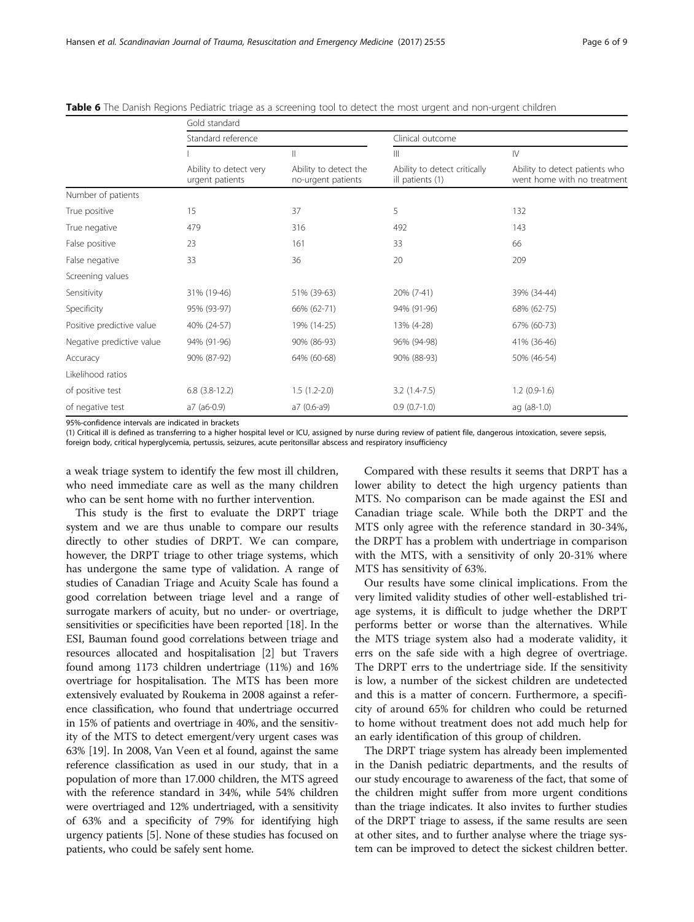|                           | Gold standard                             |                                                                                                                                                                                                                                                                                                                                                                                                                              |                                                  |                                                               |
|---------------------------|-------------------------------------------|------------------------------------------------------------------------------------------------------------------------------------------------------------------------------------------------------------------------------------------------------------------------------------------------------------------------------------------------------------------------------------------------------------------------------|--------------------------------------------------|---------------------------------------------------------------|
|                           | Standard reference                        |                                                                                                                                                                                                                                                                                                                                                                                                                              | Clinical outcome                                 |                                                               |
|                           |                                           | $\label{eq:1} \prod_{i=1}^n \alpha_i \, \prod_{i=1}^n \alpha_i \, \prod_{i=1}^n \alpha_i \, \prod_{i=1}^n \alpha_i \, \prod_{i=1}^n \alpha_i \, \prod_{i=1}^n \alpha_i \, \prod_{i=1}^n \alpha_i \, \prod_{i=1}^n \alpha_i \, \prod_{i=1}^n \alpha_i \, \prod_{i=1}^n \alpha_i \, \prod_{i=1}^n \alpha_i \, \prod_{i=1}^n \alpha_i \, \prod_{i=1}^n \alpha_i \, \prod_{i=1}^n \alpha_i \, \prod_{i=1}^n \alpha_i \, \prod_{$ | $\mathbb{H}$                                     | $\mathsf{N}$                                                  |
|                           | Ability to detect very<br>urgent patients | Ability to detect the<br>no-urgent patients                                                                                                                                                                                                                                                                                                                                                                                  | Ability to detect critically<br>ill patients (1) | Ability to detect patients who<br>went home with no treatment |
| Number of patients        |                                           |                                                                                                                                                                                                                                                                                                                                                                                                                              |                                                  |                                                               |
| True positive             | 15                                        | 37                                                                                                                                                                                                                                                                                                                                                                                                                           | 5                                                | 132                                                           |
| True negative             | 479                                       | 316                                                                                                                                                                                                                                                                                                                                                                                                                          | 492                                              | 143                                                           |
| False positive            | 23                                        | 161                                                                                                                                                                                                                                                                                                                                                                                                                          | 33                                               | 66                                                            |
| False negative            | 33                                        | 36                                                                                                                                                                                                                                                                                                                                                                                                                           | 20                                               | 209                                                           |
| Screening values          |                                           |                                                                                                                                                                                                                                                                                                                                                                                                                              |                                                  |                                                               |
| Sensitivity               | 31% (19-46)                               | 51% (39-63)                                                                                                                                                                                                                                                                                                                                                                                                                  | 20% (7-41)                                       | 39% (34-44)                                                   |
| Specificity               | 95% (93-97)                               | 66% (62-71)                                                                                                                                                                                                                                                                                                                                                                                                                  | 94% (91-96)                                      | 68% (62-75)                                                   |
| Positive predictive value | 40% (24-57)                               | 19% (14-25)                                                                                                                                                                                                                                                                                                                                                                                                                  | 13% (4-28)                                       | 67% (60-73)                                                   |
| Negative predictive value | 94% (91-96)                               | 90% (86-93)                                                                                                                                                                                                                                                                                                                                                                                                                  | 96% (94-98)                                      | 41% (36-46)                                                   |
| Accuracy                  | 90% (87-92)                               | 64% (60-68)                                                                                                                                                                                                                                                                                                                                                                                                                  | 90% (88-93)                                      | 50% (46-54)                                                   |
| Likelihood ratios         |                                           |                                                                                                                                                                                                                                                                                                                                                                                                                              |                                                  |                                                               |
| of positive test          | $6.8$ (3.8-12.2)                          | $1.5(1.2-2.0)$                                                                                                                                                                                                                                                                                                                                                                                                               | $3.2(1.4-7.5)$                                   | $1.2(0.9-1.6)$                                                |
| of negative test          | $a7$ ( $a6-0.9$ )                         | a7 (0.6-a9)                                                                                                                                                                                                                                                                                                                                                                                                                  | $0.9(0.7-1.0)$                                   | $aq$ ( $a8-1.0$ )                                             |

<span id="page-5-0"></span>Table 6 The Danish Regions Pediatric triage as a screening tool to detect the most urgent and non-urgent children

95%-confidence intervals are indicated in brackets

(1) Critical ill is defined as transferring to a higher hospital level or ICU, assigned by nurse during review of patient file, dangerous intoxication, severe sepsis, foreign body, critical hyperglycemia, pertussis, seizures, acute peritonsillar abscess and respiratory insufficiency

a weak triage system to identify the few most ill children, who need immediate care as well as the many children who can be sent home with no further intervention.

This study is the first to evaluate the DRPT triage system and we are thus unable to compare our results directly to other studies of DRPT. We can compare, however, the DRPT triage to other triage systems, which has undergone the same type of validation. A range of studies of Canadian Triage and Acuity Scale has found a good correlation between triage level and a range of surrogate markers of acuity, but no under- or overtriage, sensitivities or specificities have been reported [[18](#page-8-0)]. In the ESI, Bauman found good correlations between triage and resources allocated and hospitalisation [[2\]](#page-8-0) but Travers found among 1173 children undertriage (11%) and 16% overtriage for hospitalisation. The MTS has been more extensively evaluated by Roukema in 2008 against a reference classification, who found that undertriage occurred in 15% of patients and overtriage in 40%, and the sensitivity of the MTS to detect emergent/very urgent cases was 63% [\[19\]](#page-8-0). In 2008, Van Veen et al found, against the same reference classification as used in our study, that in a population of more than 17.000 children, the MTS agreed with the reference standard in 34%, while 54% children were overtriaged and 12% undertriaged, with a sensitivity of 63% and a specificity of 79% for identifying high urgency patients [[5](#page-8-0)]. None of these studies has focused on patients, who could be safely sent home.

Compared with these results it seems that DRPT has a lower ability to detect the high urgency patients than MTS. No comparison can be made against the ESI and Canadian triage scale. While both the DRPT and the MTS only agree with the reference standard in 30-34%, the DRPT has a problem with undertriage in comparison with the MTS, with a sensitivity of only 20-31% where MTS has sensitivity of 63%.

Our results have some clinical implications. From the very limited validity studies of other well-established triage systems, it is difficult to judge whether the DRPT performs better or worse than the alternatives. While the MTS triage system also had a moderate validity, it errs on the safe side with a high degree of overtriage. The DRPT errs to the undertriage side. If the sensitivity is low, a number of the sickest children are undetected and this is a matter of concern. Furthermore, a specificity of around 65% for children who could be returned to home without treatment does not add much help for an early identification of this group of children.

The DRPT triage system has already been implemented in the Danish pediatric departments, and the results of our study encourage to awareness of the fact, that some of the children might suffer from more urgent conditions than the triage indicates. It also invites to further studies of the DRPT triage to assess, if the same results are seen at other sites, and to further analyse where the triage system can be improved to detect the sickest children better.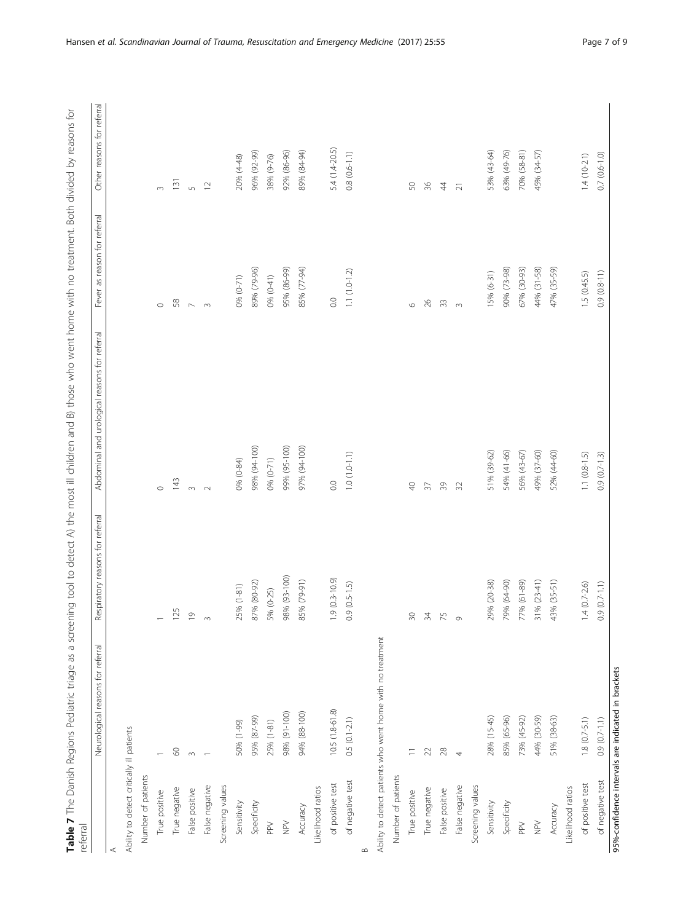Table 7 The Danish Regions Pediatric triage as a screening tool to detect A) the most ill children and B) those who went home with no treatment. Both divided by reasons for Table 7 The Danish Regions Pediatric triage as a screening tool to detect A) the most ill children and B) those who went home with no treatment. Both divided by reasons for

<span id="page-6-0"></span>

| referral                                  |                                                            |                                  |                                               |                              |                            |
|-------------------------------------------|------------------------------------------------------------|----------------------------------|-----------------------------------------------|------------------------------|----------------------------|
|                                           | Neurological reasons for referral                          | Respiratory reasons for referral | Abdominal and urological reasons for referral | Fever as reason for referral | Other reasons for referral |
|                                           |                                                            |                                  |                                               |                              |                            |
| Ability to detect critically ill patients |                                                            |                                  |                                               |                              |                            |
| Number of patients                        |                                                            |                                  |                                               |                              |                            |
| True positive                             |                                                            |                                  | $\circ$                                       | $\circ$                      | $\infty$                   |
| True negative                             | $\otimes$                                                  | 125                              | 143                                           | 58                           | 131                        |
| False positive                            | $\infty$                                                   | $\overline{0}$                   | $\infty$                                      | $\sim$                       | $\sqrt{2}$                 |
| False negative                            |                                                            | $\infty$                         | $\sim$                                        | $\infty$                     | $\overline{1}$             |
| Screening values                          |                                                            |                                  |                                               |                              |                            |
| Sensitivity                               | 50% (1-99)                                                 | $(1-81)$<br>25%                  | 0% (0-84)                                     | 0% (0-71)                    | 20% (4-48)                 |
| Specificity                               | 95% (87-99)                                                | 87% (80-92)                      | 98% (94-100)                                  | 89% (79-96)                  | 96% (92-99)                |
| $_{\rm PP}$                               | 25% (1-81)                                                 | 5% (0-25)                        | $0% (0-71)$                                   | $0% (0-41)$                  | 38% (9-76)                 |
| $\geq$                                    | 98% (91-100)                                               | 98% (93-100)                     | 99% (95-100)                                  | 95% (86-99)                  | 92% (86-96)                |
| Accuracy                                  | 94% (88-100)                                               | 85% (79-91)                      | 97% (94-100)                                  | 85% (77-94)                  | 89% (84-94)                |
| Likelihood ratios                         |                                                            |                                  |                                               |                              |                            |
| of positive test                          | 10.5 (1.8-61.8)                                            | $1.9(0.3-10.9)$                  | $\rm{C}$                                      | $\overline{0}$ .             | 5.4 (1.4-20.5)             |
| of negative test                          | $0.5(0.1-2.1)$                                             | $0.9(0.5-1.5)$                   | $1.0(1.0 - 1.1)$                              | $1.1(1.0-1.2)$               | $0.8(0.6 - 1.1)$           |
| ∞                                         |                                                            |                                  |                                               |                              |                            |
|                                           | Ability to detect patients who went home with no treatment |                                  |                                               |                              |                            |
| Number of patients                        |                                                            |                                  |                                               |                              |                            |
| True positive                             |                                                            | R                                | $\sqrt{2}$                                    | $\circ$                      | $50\,$                     |
| True negative                             | 22                                                         | 54                               | $\mathfrak{Z}$                                | $\frac{8}{5}$                | $36$                       |
| False positive                            | $28$                                                       | 75                               | $\sqrt{3}$                                    | ℬ                            | $44$                       |
| False negative                            | 4                                                          | $\circ$                          | $\overline{32}$                               | $\infty$                     | $\overline{21}$            |
| Screening values                          |                                                            |                                  |                                               |                              |                            |
| Sensitivity                               | 28% (15-45)                                                | $(20 - 38)$<br>29%               | 51% (39-62)                                   | 15% (6-31)                   | 53% (43-64)                |
| Specificity                               | 85% (65-96)                                                | 79% (64-90)                      | 54% (41-66)                                   | 90% (73-98)                  | 63% (49-76)                |
| $_{\rm PPV}$                              | 73% (45-92)                                                | $(61 - 89)$<br>77%               | 56% (43-67)                                   | 67% (30-93)                  | 70% (58-81)                |
| $\geqq$                                   | 44% (30-59)                                                | $(23-41)$<br>31%                 | 49% (37-60)                                   | 44% (31-58)                  | 45% (34-57)                |
| Accuracy                                  | 51% (38-63)                                                | $(35 - 51)$<br>43%               | 52% (44-60)                                   | 47% (35-59)                  |                            |
| Likelihood ratios                         |                                                            |                                  |                                               |                              |                            |
| of positive test                          | $1.8(0.7 - 5.1)$                                           | $1.4(0.7 - 2.6)$                 | $1.1 (0.8 - 1.5)$                             | 1.5(0.45.5)                  | $1.4(10-2.1)$              |
| of negative test                          | $0.9(0.7 - 1.1)$                                           | $0.9(0.7 - 1.1)$                 | $0.9(0.7-1.3)$                                | $0.9(0.8-11)$                | $0.7(0.6 - 1.0)$           |
|                                           | 95%-confidence intervals are indicated in brackets         |                                  |                                               |                              |                            |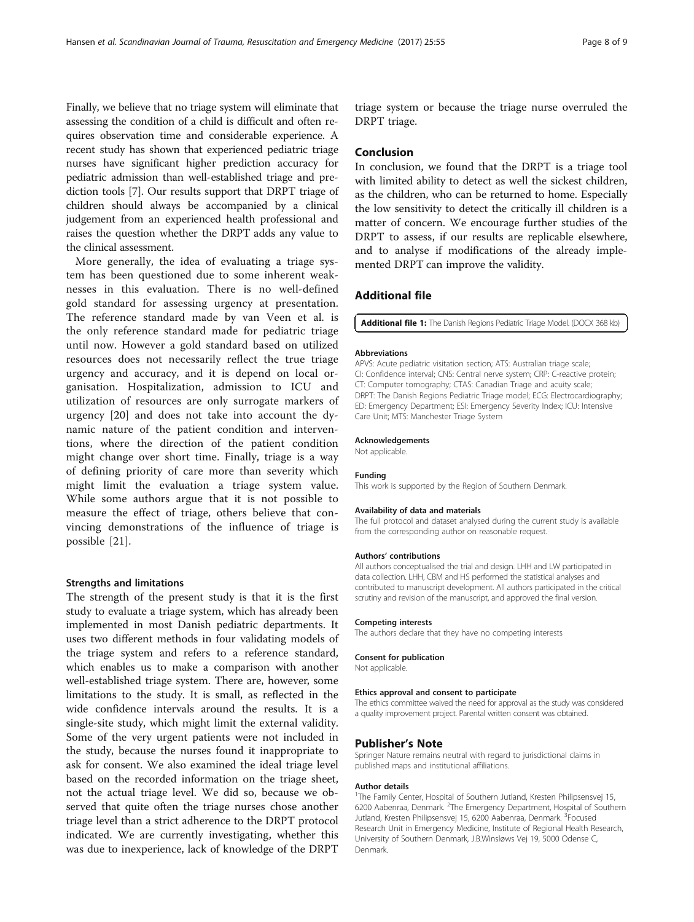<span id="page-7-0"></span>Finally, we believe that no triage system will eliminate that assessing the condition of a child is difficult and often requires observation time and considerable experience. A recent study has shown that experienced pediatric triage nurses have significant higher prediction accuracy for pediatric admission than well-established triage and prediction tools [\[7](#page-8-0)]. Our results support that DRPT triage of children should always be accompanied by a clinical judgement from an experienced health professional and raises the question whether the DRPT adds any value to the clinical assessment.

More generally, the idea of evaluating a triage system has been questioned due to some inherent weaknesses in this evaluation. There is no well-defined gold standard for assessing urgency at presentation. The reference standard made by van Veen et al. is the only reference standard made for pediatric triage until now. However a gold standard based on utilized resources does not necessarily reflect the true triage urgency and accuracy, and it is depend on local organisation. Hospitalization, admission to ICU and utilization of resources are only surrogate markers of urgency [[20\]](#page-8-0) and does not take into account the dynamic nature of the patient condition and interventions, where the direction of the patient condition might change over short time. Finally, triage is a way of defining priority of care more than severity which might limit the evaluation a triage system value. While some authors argue that it is not possible to measure the effect of triage, others believe that convincing demonstrations of the influence of triage is possible [[21](#page-8-0)].

#### Strengths and limitations

The strength of the present study is that it is the first study to evaluate a triage system, which has already been implemented in most Danish pediatric departments. It uses two different methods in four validating models of the triage system and refers to a reference standard, which enables us to make a comparison with another well-established triage system. There are, however, some limitations to the study. It is small, as reflected in the wide confidence intervals around the results. It is a single-site study, which might limit the external validity. Some of the very urgent patients were not included in the study, because the nurses found it inappropriate to ask for consent. We also examined the ideal triage level based on the recorded information on the triage sheet, not the actual triage level. We did so, because we observed that quite often the triage nurses chose another triage level than a strict adherence to the DRPT protocol indicated. We are currently investigating, whether this was due to inexperience, lack of knowledge of the DRPT

triage system or because the triage nurse overruled the DRPT triage.

## Conclusion

In conclusion, we found that the DRPT is a triage tool with limited ability to detect as well the sickest children, as the children, who can be returned to home. Especially the low sensitivity to detect the critically ill children is a matter of concern. We encourage further studies of the DRPT to assess, if our results are replicable elsewhere, and to analyse if modifications of the already implemented DRPT can improve the validity.

## Additional file

[Additional file 1:](dx.doi.org/10.1186/s13049-017-0397-6) The Danish Regions Pediatric Triage Model. (DOCX 368 kb)

#### Abbreviations

APVS: Acute pediatric visitation section; ATS: Australian triage scale; CI: Confidence interval; CNS: Central nerve system; CRP: C-reactive protein; CT: Computer tomography; CTAS: Canadian Triage and acuity scale; DRPT: The Danish Regions Pediatric Triage model; ECG: Electrocardiography; ED: Emergency Department; ESI: Emergency Severity Index; ICU: Intensive Care Unit; MTS: Manchester Triage System

#### Acknowledgements

Not applicable.

#### Funding

This work is supported by the Region of Southern Denmark.

#### Availability of data and materials

The full protocol and dataset analysed during the current study is available from the corresponding author on reasonable request.

#### Authors' contributions

All authors conceptualised the trial and design. LHH and LW participated in data collection. LHH, CBM and HS performed the statistical analyses and contributed to manuscript development. All authors participated in the critical scrutiny and revision of the manuscript, and approved the final version.

#### Competing interests

The authors declare that they have no competing interests

#### Consent for publication

Not applicable.

#### Ethics approval and consent to participate

The ethics committee waived the need for approval as the study was considered a quality improvement project. Parental written consent was obtained.

#### Publisher's Note

Springer Nature remains neutral with regard to jurisdictional claims in published maps and institutional affiliations.

#### Author details

<sup>1</sup>The Family Center, Hospital of Southern Jutland, Kresten Philipsensvej 15 6200 Aabenraa, Denmark. <sup>2</sup>The Emergency Department, Hospital of Southern Jutland, Kresten Philipsensvej 15, 6200 Aabenraa, Denmark. <sup>3</sup>Focused Research Unit in Emergency Medicine, Institute of Regional Health Research, University of Southern Denmark, J.B.Winsløws Vej 19, 5000 Odense C, Denmark.